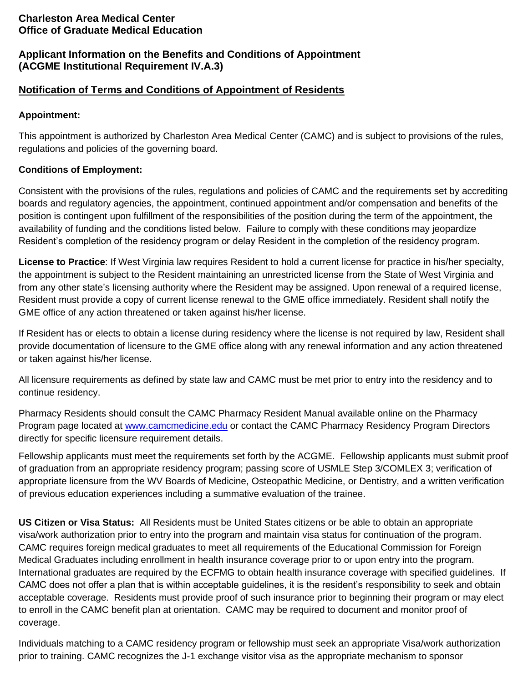## **Charleston Area Medical Center Office of Graduate Medical Education**

# **Applicant Information on the Benefits and Conditions of Appointment (ACGME Institutional Requirement IV.A.3)**

# **Notification of Terms and Conditions of Appointment of Residents**

#### **Appointment:**

This appointment is authorized by Charleston Area Medical Center (CAMC) and is subject to provisions of the rules, regulations and policies of the governing board.

#### **Conditions of Employment:**

Consistent with the provisions of the rules, regulations and policies of CAMC and the requirements set by accrediting boards and regulatory agencies, the appointment, continued appointment and/or compensation and benefits of the position is contingent upon fulfillment of the responsibilities of the position during the term of the appointment, the availability of funding and the conditions listed below. Failure to comply with these conditions may jeopardize Resident's completion of the residency program or delay Resident in the completion of the residency program.

**License to Practice**: If West Virginia law requires Resident to hold a current license for practice in his/her specialty, the appointment is subject to the Resident maintaining an unrestricted license from the State of West Virginia and from any other state's licensing authority where the Resident may be assigned. Upon renewal of a required license, Resident must provide a copy of current license renewal to the GME office immediately. Resident shall notify the GME office of any action threatened or taken against his/her license.

If Resident has or elects to obtain a license during residency where the license is not required by law, Resident shall provide documentation of licensure to the GME office along with any renewal information and any action threatened or taken against his/her license.

All licensure requirements as defined by state law and CAMC must be met prior to entry into the residency and to continue residency.

Pharmacy Residents should consult the CAMC Pharmacy Resident Manual available online on the Pharmacy Program page located at [www.camcmedicine.edu](http://www.camcmedicine.edu/) or contact the CAMC Pharmacy Residency Program Directors directly for specific licensure requirement details.

Fellowship applicants must meet the requirements set forth by the ACGME. Fellowship applicants must submit proof of graduation from an appropriate residency program; passing score of USMLE Step 3/COMLEX 3; verification of appropriate licensure from the WV Boards of Medicine, Osteopathic Medicine, or Dentistry, and a written verification of previous education experiences including a summative evaluation of the trainee.

**US Citizen or Visa Status:** All Residents must be United States citizens or be able to obtain an appropriate visa/work authorization prior to entry into the program and maintain visa status for continuation of the program. CAMC requires foreign medical graduates to meet all requirements of the Educational Commission for Foreign Medical Graduates including enrollment in health insurance coverage prior to or upon entry into the program. International graduates are required by the ECFMG to obtain health insurance coverage with specified guidelines. If CAMC does not offer a plan that is within acceptable guidelines, it is the resident's responsibility to seek and obtain acceptable coverage. Residents must provide proof of such insurance prior to beginning their program or may elect to enroll in the CAMC benefit plan at orientation. CAMC may be required to document and monitor proof of coverage.

Individuals matching to a CAMC residency program or fellowship must seek an appropriate Visa/work authorization prior to training. CAMC recognizes the J-1 exchange visitor visa as the appropriate mechanism to sponsor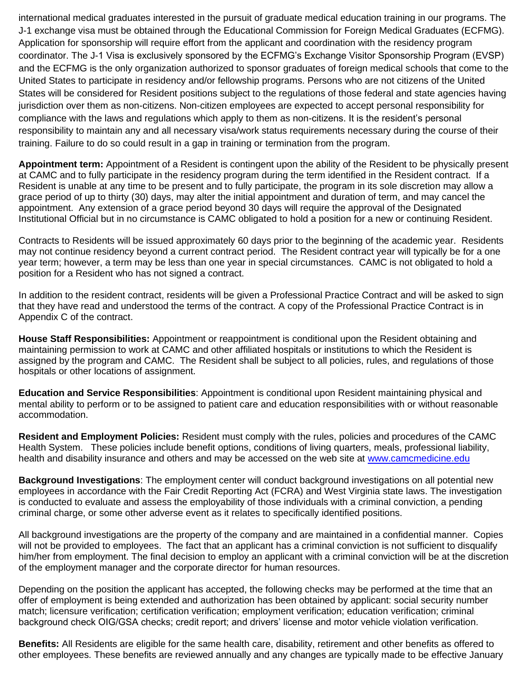international medical graduates interested in the pursuit of graduate medical education training in our programs. The J-1 exchange visa must be obtained through the Educational Commission for Foreign Medical Graduates (ECFMG). Application for sponsorship will require effort from the applicant and coordination with the residency program coordinator. The J-1 Visa is exclusively sponsored by the ECFMG's Exchange Visitor Sponsorship Program (EVSP) and the ECFMG is the only organization authorized to sponsor graduates of foreign medical schools that come to the United States to participate in residency and/or fellowship programs. Persons who are not citizens of the United States will be considered for Resident positions subject to the regulations of those federal and state agencies having jurisdiction over them as non-citizens. Non-citizen employees are expected to accept personal responsibility for compliance with the laws and regulations which apply to them as non-citizens. It is the resident's personal responsibility to maintain any and all necessary visa/work status requirements necessary during the course of their training. Failure to do so could result in a gap in training or termination from the program.

**Appointment term:** Appointment of a Resident is contingent upon the ability of the Resident to be physically present at CAMC and to fully participate in the residency program during the term identified in the Resident contract. If a Resident is unable at any time to be present and to fully participate, the program in its sole discretion may allow a grace period of up to thirty (30) days, may alter the initial appointment and duration of term, and may cancel the appointment. Any extension of a grace period beyond 30 days will require the approval of the Designated Institutional Official but in no circumstance is CAMC obligated to hold a position for a new or continuing Resident.

Contracts to Residents will be issued approximately 60 days prior to the beginning of the academic year. Residents may not continue residency beyond a current contract period. The Resident contract year will typically be for a one year term; however, a term may be less than one year in special circumstances. CAMC is not obligated to hold a position for a Resident who has not signed a contract.

In addition to the resident contract, residents will be given a Professional Practice Contract and will be asked to sign that they have read and understood the terms of the contract. A copy of the Professional Practice Contract is in Appendix C of the contract.

**House Staff Responsibilities:** Appointment or reappointment is conditional upon the Resident obtaining and maintaining permission to work at CAMC and other affiliated hospitals or institutions to which the Resident is assigned by the program and CAMC. The Resident shall be subject to all policies, rules, and regulations of those hospitals or other locations of assignment.

**Education and Service Responsibilities**: Appointment is conditional upon Resident maintaining physical and mental ability to perform or to be assigned to patient care and education responsibilities with or without reasonable accommodation.

**Resident and Employment Policies:** Resident must comply with the rules, policies and procedures of the CAMC Health System. These policies include benefit options, conditions of living quarters, meals, professional liability, health and disability insurance and others and may be accessed on the web site at [www.camcmedicine.edu](http://www.camcmedicine.edu/)

**Background Investigations**: The employment center will conduct background investigations on all potential new employees in accordance with the Fair Credit Reporting Act (FCRA) and West Virginia state laws. The investigation is conducted to evaluate and assess the employability of those individuals with a criminal conviction, a pending criminal charge, or some other adverse event as it relates to specifically identified positions.

All background investigations are the property of the company and are maintained in a confidential manner. Copies will not be provided to employees. The fact that an applicant has a criminal conviction is not sufficient to disqualify him/her from employment. The final decision to employ an applicant with a criminal conviction will be at the discretion of the employment manager and the corporate director for human resources.

Depending on the position the applicant has accepted, the following checks may be performed at the time that an offer of employment is being extended and authorization has been obtained by applicant: social security number match; licensure verification; certification verification; employment verification; education verification; criminal background check OIG/GSA checks; credit report; and drivers' license and motor vehicle violation verification.

**Benefits:** All Residents are eligible for the same health care, disability, retirement and other benefits as offered to other employees. These benefits are reviewed annually and any changes are typically made to be effective January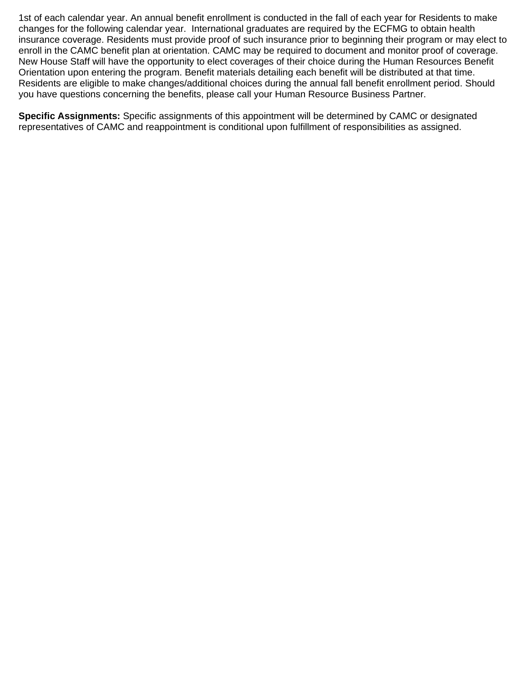1st of each calendar year. An annual benefit enrollment is conducted in the fall of each year for Residents to make changes for the following calendar year. International graduates are required by the ECFMG to obtain health insurance coverage. Residents must provide proof of such insurance prior to beginning their program or may elect to enroll in the CAMC benefit plan at orientation. CAMC may be required to document and monitor proof of coverage. New House Staff will have the opportunity to elect coverages of their choice during the Human Resources Benefit Orientation upon entering the program. Benefit materials detailing each benefit will be distributed at that time. Residents are eligible to make changes/additional choices during the annual fall benefit enrollment period. Should you have questions concerning the benefits, please call your Human Resource Business Partner.

**Specific Assignments:** Specific assignments of this appointment will be determined by CAMC or designated representatives of CAMC and reappointment is conditional upon fulfillment of responsibilities as assigned.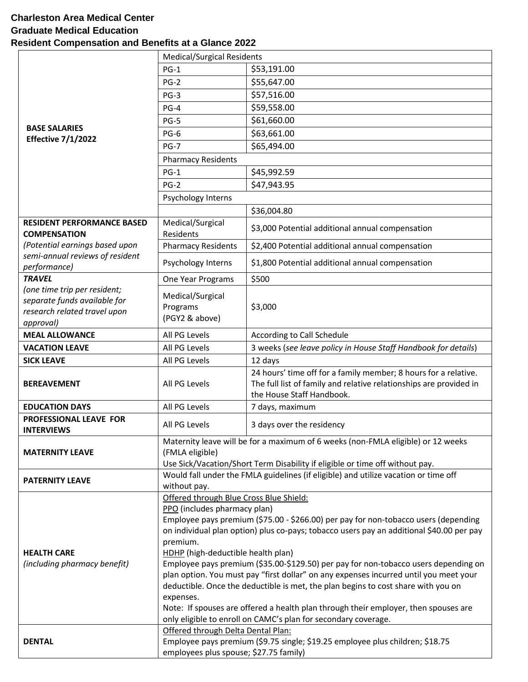## **Charleston Area Medical Center Graduate Medical Education Resident Compensation and Benefits at a Glance 2022**

|                                                              | <b>Medical/Surgical Residents</b>                                                                                                                                                                                                                  |                                                                                     |  |
|--------------------------------------------------------------|----------------------------------------------------------------------------------------------------------------------------------------------------------------------------------------------------------------------------------------------------|-------------------------------------------------------------------------------------|--|
|                                                              | $PG-1$                                                                                                                                                                                                                                             | \$53,191.00                                                                         |  |
|                                                              | $PG-2$                                                                                                                                                                                                                                             | \$55,647.00                                                                         |  |
|                                                              |                                                                                                                                                                                                                                                    | \$57,516.00                                                                         |  |
|                                                              | $PG-3$                                                                                                                                                                                                                                             |                                                                                     |  |
|                                                              | $PG-4$                                                                                                                                                                                                                                             | \$59,558.00                                                                         |  |
| <b>BASE SALARIES</b>                                         | $PG-5$                                                                                                                                                                                                                                             | \$61,660.00                                                                         |  |
| <b>Effective 7/1/2022</b>                                    | $PG-6$                                                                                                                                                                                                                                             | \$63,661.00                                                                         |  |
|                                                              | $PG-7$                                                                                                                                                                                                                                             | \$65,494.00                                                                         |  |
|                                                              | <b>Pharmacy Residents</b>                                                                                                                                                                                                                          |                                                                                     |  |
|                                                              | $PG-1$                                                                                                                                                                                                                                             | \$45,992.59                                                                         |  |
|                                                              | $PG-2$                                                                                                                                                                                                                                             | \$47,943.95                                                                         |  |
|                                                              | Psychology Interns                                                                                                                                                                                                                                 |                                                                                     |  |
|                                                              |                                                                                                                                                                                                                                                    | \$36,004.80                                                                         |  |
| <b>RESIDENT PERFORMANCE BASED</b>                            | Medical/Surgical                                                                                                                                                                                                                                   |                                                                                     |  |
| <b>COMPENSATION</b>                                          | Residents                                                                                                                                                                                                                                          | \$3,000 Potential additional annual compensation                                    |  |
| (Potential earnings based upon                               | <b>Pharmacy Residents</b>                                                                                                                                                                                                                          | \$2,400 Potential additional annual compensation                                    |  |
| semi-annual reviews of resident                              | Psychology Interns                                                                                                                                                                                                                                 | \$1,800 Potential additional annual compensation                                    |  |
| performance)                                                 |                                                                                                                                                                                                                                                    |                                                                                     |  |
| <b>TRAVEL</b>                                                | One Year Programs                                                                                                                                                                                                                                  | \$500                                                                               |  |
| (one time trip per resident;                                 | Medical/Surgical                                                                                                                                                                                                                                   |                                                                                     |  |
| separate funds available for<br>research related travel upon | Programs                                                                                                                                                                                                                                           | \$3,000                                                                             |  |
| approval)                                                    | (PGY2 & above)                                                                                                                                                                                                                                     |                                                                                     |  |
| <b>MEAL ALLOWANCE</b>                                        | All PG Levels                                                                                                                                                                                                                                      | According to Call Schedule                                                          |  |
| <b>VACATION LEAVE</b>                                        | All PG Levels                                                                                                                                                                                                                                      | 3 weeks (see leave policy in House Staff Handbook for details)                      |  |
| <b>SICK LEAVE</b>                                            | All PG Levels                                                                                                                                                                                                                                      | 12 days                                                                             |  |
|                                                              |                                                                                                                                                                                                                                                    | 24 hours' time off for a family member; 8 hours for a relative.                     |  |
| <b>BEREAVEMENT</b>                                           | All PG Levels                                                                                                                                                                                                                                      | The full list of family and relative relationships are provided in                  |  |
|                                                              |                                                                                                                                                                                                                                                    | the House Staff Handbook.                                                           |  |
| <b>EDUCATION DAYS</b>                                        | All PG Levels                                                                                                                                                                                                                                      | 7 days, maximum                                                                     |  |
| PROFESSIONAL LEAVE FOR                                       |                                                                                                                                                                                                                                                    |                                                                                     |  |
| <b>INTERVIEWS</b>                                            | All PG Levels                                                                                                                                                                                                                                      | 3 days over the residency                                                           |  |
|                                                              | Maternity leave will be for a maximum of 6 weeks (non-FMLA eligible) or 12 weeks                                                                                                                                                                   |                                                                                     |  |
| <b>MATERNITY LEAVE</b>                                       | (FMLA eligible)                                                                                                                                                                                                                                    |                                                                                     |  |
|                                                              | Use Sick/Vacation/Short Term Disability if eligible or time off without pay.                                                                                                                                                                       |                                                                                     |  |
| <b>PATERNITY LEAVE</b>                                       | Would fall under the FMLA guidelines (if eligible) and utilize vacation or time off                                                                                                                                                                |                                                                                     |  |
|                                                              | without pay.                                                                                                                                                                                                                                       |                                                                                     |  |
|                                                              | Offered through Blue Cross Blue Shield:                                                                                                                                                                                                            |                                                                                     |  |
|                                                              | PPO (includes pharmacy plan)<br>Employee pays premium (\$75.00 - \$266.00) per pay for non-tobacco users (depending                                                                                                                                |                                                                                     |  |
|                                                              | on individual plan option) plus co-pays; tobacco users pay an additional \$40.00 per pay                                                                                                                                                           |                                                                                     |  |
|                                                              | premium.                                                                                                                                                                                                                                           |                                                                                     |  |
| <b>HEALTH CARE</b>                                           | HDHP (high-deductible health plan)<br>(including pharmacy benefit)<br>Employee pays premium (\$35.00-\$129.50) per pay for non-tobacco users depending on<br>plan option. You must pay "first dollar" on any expenses incurred until you meet your |                                                                                     |  |
|                                                              |                                                                                                                                                                                                                                                    |                                                                                     |  |
|                                                              |                                                                                                                                                                                                                                                    |                                                                                     |  |
|                                                              | deductible. Once the deductible is met, the plan begins to cost share with you on                                                                                                                                                                  |                                                                                     |  |
|                                                              | expenses.                                                                                                                                                                                                                                          |                                                                                     |  |
|                                                              |                                                                                                                                                                                                                                                    |                                                                                     |  |
|                                                              |                                                                                                                                                                                                                                                    | Note: If spouses are offered a health plan through their employer, then spouses are |  |
|                                                              |                                                                                                                                                                                                                                                    | only eligible to enroll on CAMC's plan for secondary coverage.                      |  |
|                                                              | Offered through Delta Dental Plan:                                                                                                                                                                                                                 |                                                                                     |  |
| <b>DENTAL</b>                                                | employees plus spouse; \$27.75 family)                                                                                                                                                                                                             | Employee pays premium (\$9.75 single; \$19.25 employee plus children; \$18.75       |  |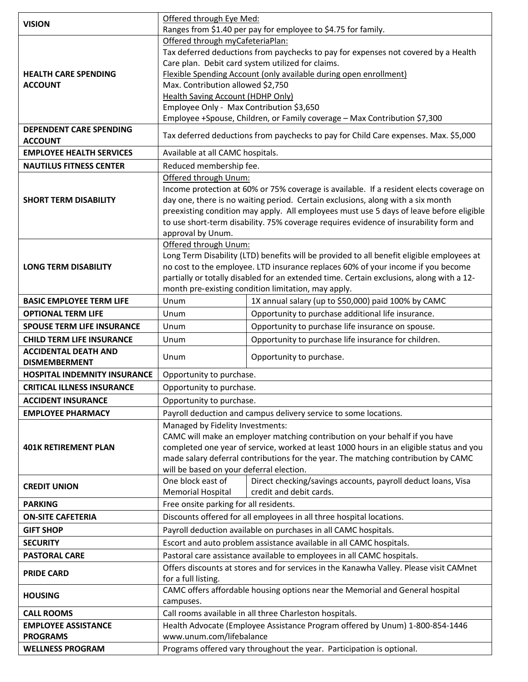| <b>VISION</b>                                    | Offered through Eye Med:                                                                                                                                                                                |                                                                                         |  |
|--------------------------------------------------|---------------------------------------------------------------------------------------------------------------------------------------------------------------------------------------------------------|-----------------------------------------------------------------------------------------|--|
|                                                  | Ranges from \$1.40 per pay for employee to \$4.75 for family.                                                                                                                                           |                                                                                         |  |
|                                                  | Offered through myCafeteriaPlan:<br>Tax deferred deductions from paychecks to pay for expenses not covered by a Health                                                                                  |                                                                                         |  |
|                                                  |                                                                                                                                                                                                         |                                                                                         |  |
| <b>HEALTH CARE SPENDING</b>                      | Care plan. Debit card system utilized for claims.<br>Flexible Spending Account (only available during open enrollment)<br>Max. Contribution allowed \$2,750<br><b>Health Saving Account (HDHP Only)</b> |                                                                                         |  |
| <b>ACCOUNT</b>                                   |                                                                                                                                                                                                         |                                                                                         |  |
|                                                  |                                                                                                                                                                                                         |                                                                                         |  |
|                                                  | Employee Only - Max Contribution \$3,650                                                                                                                                                                |                                                                                         |  |
|                                                  | Employee +Spouse, Children, or Family coverage - Max Contribution \$7,300                                                                                                                               |                                                                                         |  |
| <b>DEPENDENT CARE SPENDING</b><br><b>ACCOUNT</b> | Tax deferred deductions from paychecks to pay for Child Care expenses. Max. \$5,000                                                                                                                     |                                                                                         |  |
| <b>EMPLOYEE HEALTH SERVICES</b>                  | Available at all CAMC hospitals.                                                                                                                                                                        |                                                                                         |  |
| <b>NAUTILUS FITNESS CENTER</b>                   | Reduced membership fee.                                                                                                                                                                                 |                                                                                         |  |
|                                                  | Offered through Unum:                                                                                                                                                                                   |                                                                                         |  |
|                                                  |                                                                                                                                                                                                         | Income protection at 60% or 75% coverage is available. If a resident elects coverage on |  |
| <b>SHORT TERM DISABILITY</b>                     |                                                                                                                                                                                                         | day one, there is no waiting period. Certain exclusions, along with a six month         |  |
|                                                  |                                                                                                                                                                                                         | preexisting condition may apply. All employees must use 5 days of leave before eligible |  |
|                                                  | to use short-term disability. 75% coverage requires evidence of insurability form and                                                                                                                   |                                                                                         |  |
|                                                  | approval by Unum.                                                                                                                                                                                       |                                                                                         |  |
|                                                  | Offered through Unum:<br>Long Term Disability (LTD) benefits will be provided to all benefit eligible employees at                                                                                      |                                                                                         |  |
| <b>LONG TERM DISABILITY</b>                      |                                                                                                                                                                                                         | no cost to the employee. LTD insurance replaces 60% of your income if you become        |  |
|                                                  | partially or totally disabled for an extended time. Certain exclusions, along with a 12-                                                                                                                |                                                                                         |  |
|                                                  |                                                                                                                                                                                                         | month pre-existing condition limitation, may apply.                                     |  |
| <b>BASIC EMPLOYEE TERM LIFE</b>                  | Unum                                                                                                                                                                                                    | 1X annual salary (up to \$50,000) paid 100% by CAMC                                     |  |
| <b>OPTIONAL TERM LIFE</b>                        | Unum                                                                                                                                                                                                    | Opportunity to purchase additional life insurance.                                      |  |
| <b>SPOUSE TERM LIFE INSURANCE</b>                | Unum                                                                                                                                                                                                    | Opportunity to purchase life insurance on spouse.                                       |  |
|                                                  |                                                                                                                                                                                                         |                                                                                         |  |
| <b>CHILD TERM LIFE INSURANCE</b>                 | Unum                                                                                                                                                                                                    |                                                                                         |  |
| <b>ACCIDENTAL DEATH AND</b>                      |                                                                                                                                                                                                         | Opportunity to purchase life insurance for children.                                    |  |
| <b>DISMEMBERMENT</b>                             | Unum                                                                                                                                                                                                    | Opportunity to purchase.                                                                |  |
| <b>HOSPITAL INDEMNITY INSURANCE</b>              | Opportunity to purchase.                                                                                                                                                                                |                                                                                         |  |
| <b>CRITICAL ILLNESS INSURANCE</b>                | Opportunity to purchase.                                                                                                                                                                                |                                                                                         |  |
| <b>ACCIDENT INSURANCE</b>                        | Opportunity to purchase.                                                                                                                                                                                |                                                                                         |  |
| <b>EMPLOYEE PHARMACY</b>                         |                                                                                                                                                                                                         | Payroll deduction and campus delivery service to some locations.                        |  |
|                                                  | Managed by Fidelity Investments:                                                                                                                                                                        |                                                                                         |  |
|                                                  |                                                                                                                                                                                                         | CAMC will make an employer matching contribution on your behalf if you have             |  |
| <b>401K RETIREMENT PLAN</b>                      |                                                                                                                                                                                                         | completed one year of service, worked at least 1000 hours in an eligible status and you |  |
|                                                  |                                                                                                                                                                                                         | made salary deferral contributions for the year. The matching contribution by CAMC      |  |
|                                                  | will be based on your deferral election.                                                                                                                                                                |                                                                                         |  |
| <b>CREDIT UNION</b>                              | One block east of                                                                                                                                                                                       | Direct checking/savings accounts, payroll deduct loans, Visa<br>credit and debit cards. |  |
| <b>PARKING</b>                                   | <b>Memorial Hospital</b><br>Free onsite parking for all residents.                                                                                                                                      |                                                                                         |  |
| <b>ON-SITE CAFETERIA</b>                         |                                                                                                                                                                                                         | Discounts offered for all employees in all three hospital locations.                    |  |
| <b>GIFT SHOP</b>                                 |                                                                                                                                                                                                         |                                                                                         |  |
| <b>SECURITY</b>                                  |                                                                                                                                                                                                         | Payroll deduction available on purchases in all CAMC hospitals.                         |  |
|                                                  |                                                                                                                                                                                                         | Escort and auto problem assistance available in all CAMC hospitals.                     |  |
| <b>PASTORAL CARE</b>                             |                                                                                                                                                                                                         | Pastoral care assistance available to employees in all CAMC hospitals.                  |  |
| <b>PRIDE CARD</b>                                | for a full listing.                                                                                                                                                                                     | Offers discounts at stores and for services in the Kanawha Valley. Please visit CAMnet  |  |
|                                                  |                                                                                                                                                                                                         | CAMC offers affordable housing options near the Memorial and General hospital           |  |
| <b>HOUSING</b>                                   | campuses.                                                                                                                                                                                               |                                                                                         |  |
| <b>CALL ROOMS</b>                                |                                                                                                                                                                                                         | Call rooms available in all three Charleston hospitals.                                 |  |
| <b>EMPLOYEE ASSISTANCE</b>                       |                                                                                                                                                                                                         | Health Advocate (Employee Assistance Program offered by Unum) 1-800-854-1446            |  |
| <b>PROGRAMS</b><br><b>WELLNESS PROGRAM</b>       | www.unum.com/lifebalance                                                                                                                                                                                | Programs offered vary throughout the year. Participation is optional.                   |  |